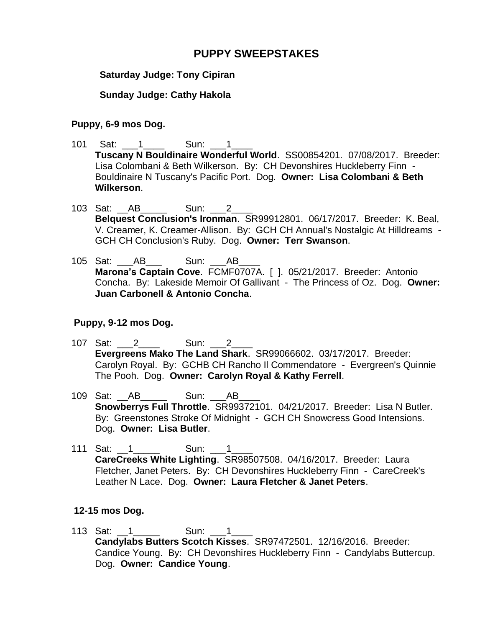## **PUPPY SWEEPSTAKES**

## **Saturday Judge: Tony Cipiran**

## **Sunday Judge: Cathy Hakola**

#### **Puppy, 6-9 mos Dog.**

- 101 Sat: 1 Sun: 1 **Tuscany N Bouldinaire Wonderful World**. SS00854201. 07/08/2017. Breeder: Lisa Colombani & Beth Wilkerson. By: CH Devonshires Huckleberry Finn - Bouldinaire N Tuscany's Pacific Port. Dog. **Owner: Lisa Colombani & Beth Wilkerson**.
- 103 Sat: AB \_\_\_\_\_ Sun: 2 **Belquest Conclusion's Ironman**. SR99912801. 06/17/2017. Breeder: K. Beal, V. Creamer, K. Creamer-Allison. By: GCH CH Annual's Nostalgic At Hilldreams - GCH CH Conclusion's Ruby. Dog. **Owner: Terr Swanson**.
- 105 Sat: \_\_\_AB\_\_\_ Sun: \_\_\_AB\_\_\_\_ **Marona's Captain Cove**. FCMF0707A. [ ]. 05/21/2017. Breeder: Antonio Concha. By: Lakeside Memoir Of Gallivant - The Princess of Oz. Dog. **Owner: Juan Carbonell & Antonio Concha**.

#### **Puppy, 9-12 mos Dog.**

- 107 Sat: 2 Sun: 2 **Evergreens Mako The Land Shark**. SR99066602. 03/17/2017. Breeder: Carolyn Royal. By: GCHB CH Rancho Il Commendatore - Evergreen's Quinnie The Pooh. Dog. **Owner: Carolyn Royal & Kathy Ferrell**.
- 109 Sat: AB \_\_\_\_\_\_ Sun: AB **Snowberrys Full Throttle**. SR99372101. 04/21/2017. Breeder: Lisa N Butler. By: Greenstones Stroke Of Midnight - GCH CH Snowcress Good Intensions. Dog. **Owner: Lisa Butler**.
- 111 Sat: 1 \_\_\_\_\_\_\_ Sun: 1 **CareCreeks White Lighting**. SR98507508. 04/16/2017. Breeder: Laura Fletcher, Janet Peters. By: CH Devonshires Huckleberry Finn - CareCreek's Leather N Lace. Dog. **Owner: Laura Fletcher & Janet Peters**.

#### **12-15 mos Dog.**

113 Sat: 1 \_\_\_\_\_\_ Sun: 1 **Candylabs Butters Scotch Kisses**. SR97472501. 12/16/2016. Breeder: Candice Young. By: CH Devonshires Huckleberry Finn - Candylabs Buttercup. Dog. **Owner: Candice Young**.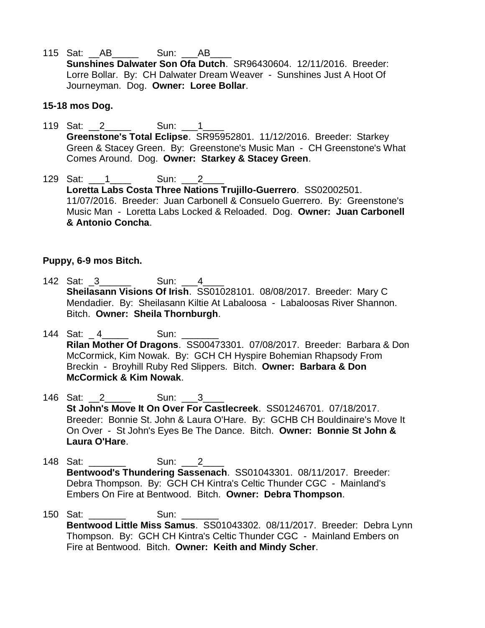115 Sat: AB \_\_\_\_\_\_\_ Sun: AB **Sunshines Dalwater Son Ofa Dutch**. SR96430604. 12/11/2016. Breeder: Lorre Bollar. By: CH Dalwater Dream Weaver - Sunshines Just A Hoot Of Journeyman. Dog. **Owner: Loree Bollar**.

#### **15-18 mos Dog.**

- 119 Sat: \_\_2\_\_\_\_\_ Sun: \_\_\_1\_\_\_\_ **Greenstone's Total Eclipse**. SR95952801. 11/12/2016. Breeder: Starkey Green & Stacey Green. By: Greenstone's Music Man - CH Greenstone's What Comes Around. Dog. **Owner: Starkey & Stacey Green**.
- 129 Sat: 1 Sun: 2 **Loretta Labs Costa Three Nations Trujillo-Guerrero**. SS02002501. 11/07/2016. Breeder: Juan Carbonell & Consuelo Guerrero. By: Greenstone's Music Man - Loretta Labs Locked & Reloaded. Dog. **Owner: Juan Carbonell & Antonio Concha**.

#### **Puppy, 6-9 mos Bitch.**

- 142 Sat: 3 \_\_\_\_\_\_ Sun: 4 **Sheilasann Visions Of Irish**. SS01028101. 08/08/2017. Breeder: Mary C Mendadier. By: Sheilasann Kiltie At Labaloosa - Labaloosas River Shannon. Bitch. **Owner: Sheila Thornburgh**.
- 144 Sat: 4 \_\_\_\_\_ Sun: **Rilan Mother Of Dragons**. SS00473301. 07/08/2017. Breeder: Barbara & Don McCormick, Kim Nowak. By: GCH CH Hyspire Bohemian Rhapsody From Breckin - Broyhill Ruby Red Slippers. Bitch. **Owner: Barbara & Don McCormick & Kim Nowak**.
- 146 Sat: 2 Sun: 3 **St John's Move It On Over For Castlecreek**. SS01246701. 07/18/2017. Breeder: Bonnie St. John & Laura O'Hare. By: GCHB CH Bouldinaire's Move It On Over - St John's Eyes Be The Dance. Bitch. **Owner: Bonnie St John & Laura O'Hare**.
- 148 Sat: **Sun: 2 Bentwood's Thundering Sassenach**. SS01043301. 08/11/2017. Breeder: Debra Thompson. By: GCH CH Kintra's Celtic Thunder CGC - Mainland's Embers On Fire at Bentwood. Bitch. **Owner: Debra Thompson**.
- 150 Sat: 2001 Sun: **Bentwood Little Miss Samus**. SS01043302. 08/11/2017. Breeder: Debra Lynn Thompson. By: GCH CH Kintra's Celtic Thunder CGC - Mainland Embers on Fire at Bentwood. Bitch. **Owner: Keith and Mindy Scher**.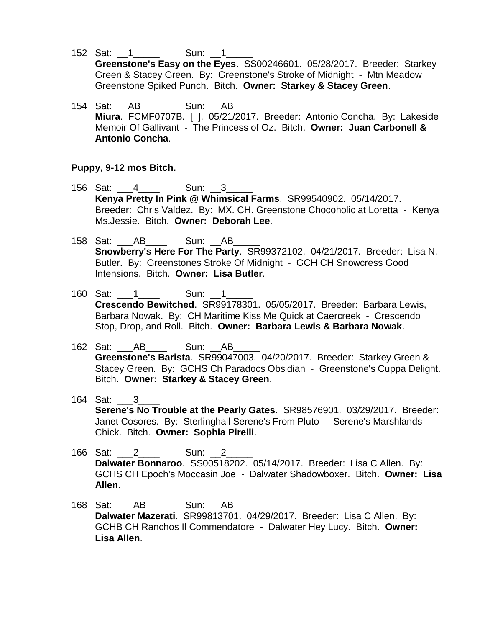- 152 Sat: 1 \_\_\_\_\_ Sun: 1 **Greenstone's Easy on the Eyes**. SS00246601. 05/28/2017. Breeder: Starkey Green & Stacey Green. By: Greenstone's Stroke of Midnight - Mtn Meadow Greenstone Spiked Punch. Bitch. **Owner: Starkey & Stacey Green**.
- 154 Sat: AB \_\_\_\_\_ Sun: AB **Miura**. FCMF0707B. [ ]. 05/21/2017. Breeder: Antonio Concha. By: Lakeside Memoir Of Gallivant - The Princess of Oz. Bitch. **Owner: Juan Carbonell & Antonio Concha**.

#### **Puppy, 9-12 mos Bitch.**

- 156 Sat: 156 Sun: 2 **Kenya Pretty In Pink @ Whimsical Farms**. SR99540902. 05/14/2017. Breeder: Chris Valdez. By: MX. CH. Greenstone Chocoholic at Loretta - Kenya Ms.Jessie. Bitch. **Owner: Deborah Lee**.
- 158 Sat: \_\_\_AB\_\_\_\_ Sun: \_\_AB\_\_\_\_\_ **Snowberry's Here For The Party**. SR99372102. 04/21/2017. Breeder: Lisa N. Butler. By: Greenstones Stroke Of Midnight - GCH CH Snowcress Good Intensions. Bitch. **Owner: Lisa Butler**.
- 160 Sat: 1 \_\_\_\_\_\_ Sun: 1 **Crescendo Bewitched**. SR99178301. 05/05/2017. Breeder: Barbara Lewis, Barbara Nowak. By: CH Maritime Kiss Me Quick at Caercreek - Crescendo Stop, Drop, and Roll. Bitch. **Owner: Barbara Lewis & Barbara Nowak**.
- 162 Sat: AB \_\_\_\_\_ Sun: AB **Greenstone's Barista**. SR99047003. 04/20/2017. Breeder: Starkey Green & Stacey Green. By: GCHS Ch Paradocs Obsidian - Greenstone's Cuppa Delight. Bitch. **Owner: Starkey & Stacey Green**.
- 164 Sat: \_\_\_3\_\_\_\_ **Serene's No Trouble at the Pearly Gates**. SR98576901. 03/29/2017. Breeder: Janet Cosores. By: Sterlinghall Serene's From Pluto - Serene's Marshlands Chick. Bitch. **Owner: Sophia Pirelli**.
- 166 Sat: 2 \_\_\_\_ Sun: 2 **Dalwater Bonnaroo**. SS00518202. 05/14/2017. Breeder: Lisa C Allen. By: GCHS CH Epoch's Moccasin Joe - Dalwater Shadowboxer. Bitch. **Owner: Lisa Allen**.
- 168 Sat: \_\_\_AB\_\_\_\_ Sun: \_\_AB\_\_\_\_\_ **Dalwater Mazerati**. SR99813701. 04/29/2017. Breeder: Lisa C Allen. By: GCHB CH Ranchos Il Commendatore - Dalwater Hey Lucy. Bitch. **Owner: Lisa Allen**.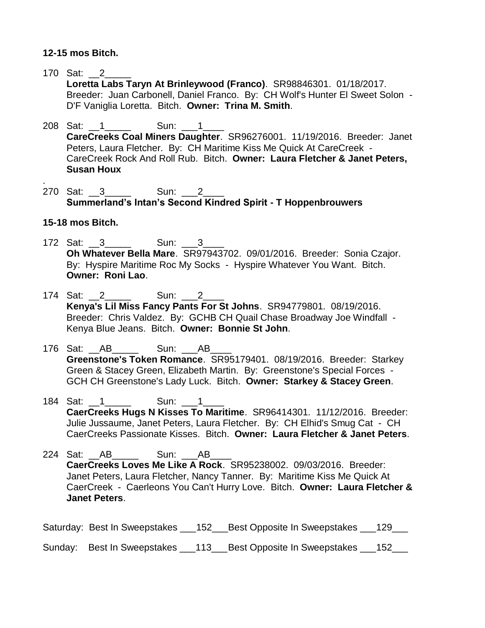### **12-15 mos Bitch.**

- 170 Sat: 2 **Loretta Labs Taryn At Brinleywood (Franco)**. SR98846301. 01/18/2017. Breeder: Juan Carbonell, Daniel Franco. By: CH Wolf's Hunter El Sweet Solon - D'F Vaniglia Loretta. Bitch. **Owner: Trina M. Smith**.
- 208 Sat: 1 \_\_\_\_ Sun: 1 **CareCreeks Coal Miners Daughter**. SR96276001. 11/19/2016. Breeder: Janet Peters, Laura Fletcher. By: CH Maritime Kiss Me Quick At CareCreek - CareCreek Rock And Roll Rub. Bitch. **Owner: Laura Fletcher & Janet Peters, Susan Houx**
- 270 Sat: 3 \_\_\_\_\_ Sun: 2 **Summerland's Intan's Second Kindred Spirit - T Hoppenbrouwers**

## **15-18 mos Bitch.**

.

- 172 Sat: 3\_\_\_\_\_ Sun: 3\_\_\_ **Oh Whatever Bella Mare**. SR97943702. 09/01/2016. Breeder: Sonia Czajor. By: Hyspire Maritime Roc My Socks - Hyspire Whatever You Want. Bitch. **Owner: Roni Lao**.
- 174 Sat: 2 \_\_\_\_\_ Sun: 2 **Kenya's Lil Miss Fancy Pants For St Johns**. SR94779801. 08/19/2016. Breeder: Chris Valdez. By: GCHB CH Quail Chase Broadway Joe Windfall - Kenya Blue Jeans. Bitch. **Owner: Bonnie St John**.
- 176 Sat: \_\_AB\_\_\_\_\_ Sun: \_\_\_AB\_\_\_\_ **Greenstone's Token Romance**. SR95179401. 08/19/2016. Breeder: Starkey Green & Stacey Green, Elizabeth Martin. By: Greenstone's Special Forces - GCH CH Greenstone's Lady Luck. Bitch. **Owner: Starkey & Stacey Green**.
- 184 Sat: 1 \_\_\_\_ Sun: 1 **CaerCreeks Hugs N Kisses To Maritime**. SR96414301. 11/12/2016. Breeder: Julie Jussaume, Janet Peters, Laura Fletcher. By: CH Elhid's Smug Cat - CH CaerCreeks Passionate Kisses. Bitch. **Owner: Laura Fletcher & Janet Peters**.

224 Sat: AB \_\_\_\_\_ Sun: AB **CaerCreeks Loves Me Like A Rock**. SR95238002. 09/03/2016. Breeder: Janet Peters, Laura Fletcher, Nancy Tanner. By: Maritime Kiss Me Quick At CaerCreek - Caerleons You Can't Hurry Love. Bitch. **Owner: Laura Fletcher & Janet Peters**.

|  | Saturday: Best In Sweepstakes ___152___Best Opposite In Sweepstakes ___129___ |  |
|--|-------------------------------------------------------------------------------|--|
|  | Sunday: Best In Sweepstakes ___113___Best Opposite In Sweepstakes ___152_     |  |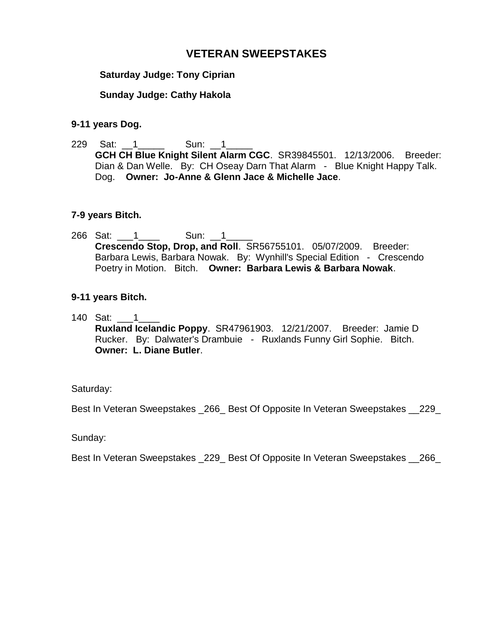## **VETERAN SWEEPSTAKES**

### **Saturday Judge: Tony Ciprian**

## **Sunday Judge: Cathy Hakola**

#### **9-11 years Dog.**

229 Sat: 1 \_\_\_\_\_ Sun: 1 **GCH CH Blue Knight Silent Alarm CGC**. SR39845501. 12/13/2006. Breeder: Dian & Dan Welle. By: CH Oseay Darn That Alarm - Blue Knight Happy Talk. Dog. **Owner: Jo-Anne & Glenn Jace & Michelle Jace**.

#### **7-9 years Bitch.**

266 Sat: 1 \_\_\_\_\_\_ Sun: 1 **Crescendo Stop, Drop, and Roll**. SR56755101. 05/07/2009. Breeder: Barbara Lewis, Barbara Nowak. By: Wynhill's Special Edition - Crescendo Poetry in Motion. Bitch. **Owner: Barbara Lewis & Barbara Nowak**.

#### **9-11 years Bitch.**

140 Sat: \_\_\_1\_\_\_\_ **Ruxland Icelandic Poppy**. SR47961903. 12/21/2007. Breeder: Jamie D Rucker. By: Dalwater's Drambuie - Ruxlands Funny Girl Sophie. Bitch. **Owner: L. Diane Butler**.

#### Saturday:

Best In Veteran Sweepstakes \_266\_ Best Of Opposite In Veteran Sweepstakes \_\_229\_

Sunday:

Best In Veteran Sweepstakes \_229\_ Best Of Opposite In Veteran Sweepstakes \_\_266\_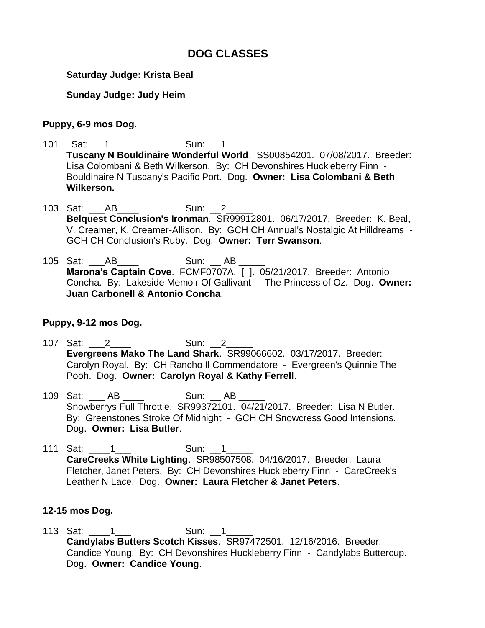# **DOG CLASSES**

### **Saturday Judge: Krista Beal**

## **Sunday Judge: Judy Heim**

### **Puppy, 6-9 mos Dog.**

- 101 Sat: 1 Sun: 1 **Tuscany N Bouldinaire Wonderful World**. SS00854201. 07/08/2017. Breeder: Lisa Colombani & Beth Wilkerson. By: CH Devonshires Huckleberry Finn - Bouldinaire N Tuscany's Pacific Port. Dog. **Owner: Lisa Colombani & Beth Wilkerson.**
- 103 Sat: \_\_\_\_AB\_\_\_\_\_ Sun: 2 **Belquest Conclusion's Ironman**. SR99912801. 06/17/2017. Breeder: K. Beal, V. Creamer, K. Creamer-Allison. By: GCH CH Annual's Nostalgic At Hilldreams - GCH CH Conclusion's Ruby. Dog. **Owner: Terr Swanson**.
- 105 Sat: \_\_\_AB\_\_\_\_ Sun: \_\_ AB \_\_\_\_\_ **Marona's Captain Cove**. FCMF0707A. [ ]. 05/21/2017. Breeder: Antonio Concha. By: Lakeside Memoir Of Gallivant - The Princess of Oz. Dog. **Owner: Juan Carbonell & Antonio Concha**.

## **Puppy, 9-12 mos Dog.**

- 107 Sat: 2 \_\_\_\_ Sun: 2 **Evergreens Mako The Land Shark**. SR99066602. 03/17/2017. Breeder: Carolyn Royal. By: CH Rancho Il Commendatore - Evergreen's Quinnie The Pooh. Dog. **Owner: Carolyn Royal & Kathy Ferrell**.
- 109 Sat: \_\_\_ AB \_\_\_\_ Sun: \_\_ AB \_\_ Snowberrys Full Throttle. SR99372101. 04/21/2017. Breeder: Lisa N Butler. By: Greenstones Stroke Of Midnight - GCH CH Snowcress Good Intensions. Dog. **Owner: Lisa Butler**.
- 111 Sat: \_\_\_\_1\_\_\_ Sun: \_\_1\_\_\_\_\_ **CareCreeks White Lighting**. SR98507508. 04/16/2017. Breeder: Laura Fletcher, Janet Peters. By: CH Devonshires Huckleberry Finn - CareCreek's Leather N Lace. Dog. **Owner: Laura Fletcher & Janet Peters**.

#### **12-15 mos Dog.**

113 Sat: \_\_\_\_1\_\_\_ Sun: \_\_1\_\_\_\_\_ **Candylabs Butters Scotch Kisses**. SR97472501. 12/16/2016. Breeder: Candice Young. By: CH Devonshires Huckleberry Finn - Candylabs Buttercup. Dog. **Owner: Candice Young**.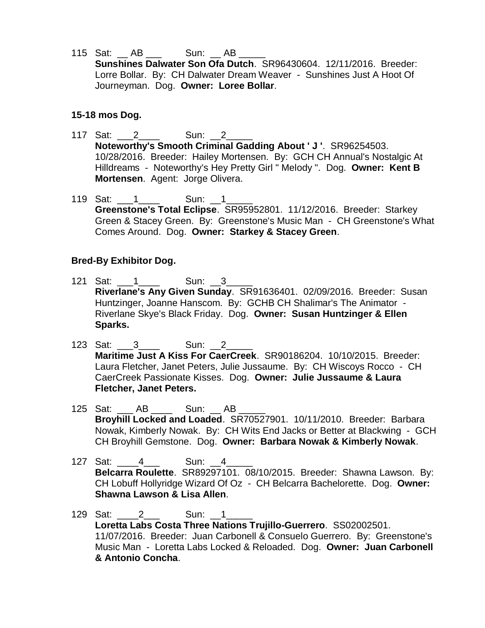115 Sat: \_\_ AB \_\_\_ Sun: \_\_ AB \_\_\_\_\_ **Sunshines Dalwater Son Ofa Dutch**. SR96430604. 12/11/2016. Breeder: Lorre Bollar. By: CH Dalwater Dream Weaver - Sunshines Just A Hoot Of Journeyman. Dog. **Owner: Loree Bollar**.

#### **15-18 mos Dog.**

- 117 Sat: 2 Sun: 2 **Noteworthy's Smooth Criminal Gadding About ' J '**. SR96254503. 10/28/2016. Breeder: Hailey Mortensen. By: GCH CH Annual's Nostalgic At Hilldreams - Noteworthy's Hey Pretty Girl " Melody ". Dog. **Owner: Kent B Mortensen**. Agent: Jorge Olivera.
- 119 Sat: 1 \_\_\_\_\_\_ Sun: 1 **Greenstone's Total Eclipse**. SR95952801. 11/12/2016. Breeder: Starkey Green & Stacey Green. By: Greenstone's Music Man - CH Greenstone's What Comes Around. Dog. **Owner: Starkey & Stacey Green**.

#### **Bred-By Exhibitor Dog.**

- 121 Sat: 1 \_\_\_ 1 \_\_\_\_\_ Sun: 3 **Riverlane's Any Given Sunday**. SR91636401. 02/09/2016. Breeder: Susan Huntzinger, Joanne Hanscom. By: GCHB CH Shalimar's The Animator - Riverlane Skye's Black Friday. Dog. **Owner: Susan Huntzinger & Ellen Sparks.**
- 123 Sat: 3 Sun: 2 **Maritime Just A Kiss For CaerCreek**. SR90186204. 10/10/2015. Breeder: Laura Fletcher, Janet Peters, Julie Jussaume. By: CH Wiscoys Rocco - CH CaerCreek Passionate Kisses. Dog. **Owner: Julie Jussaume & Laura Fletcher, Janet Peters.**
- 125 Sat: \_\_\_ AB \_\_\_\_ Sun: \_\_ AB \_\_ **Broyhill Locked and Loaded**. SR70527901. 10/11/2010. Breeder: Barbara Nowak, Kimberly Nowak. By: CH Wits End Jacks or Better at Blackwing - GCH CH Broyhill Gemstone. Dog. **Owner: Barbara Nowak & Kimberly Nowak**.
- 127 Sat: 4 Sun: 4 **Belcarra Roulette**. SR89297101. 08/10/2015. Breeder: Shawna Lawson. By: CH Lobuff Hollyridge Wizard Of Oz - CH Belcarra Bachelorette. Dog. **Owner: Shawna Lawson & Lisa Allen**.
- 129 Sat: 2 Sun: 1 **Loretta Labs Costa Three Nations Trujillo-Guerrero**. SS02002501. 11/07/2016. Breeder: Juan Carbonell & Consuelo Guerrero. By: Greenstone's Music Man - Loretta Labs Locked & Reloaded. Dog. **Owner: Juan Carbonell & Antonio Concha**.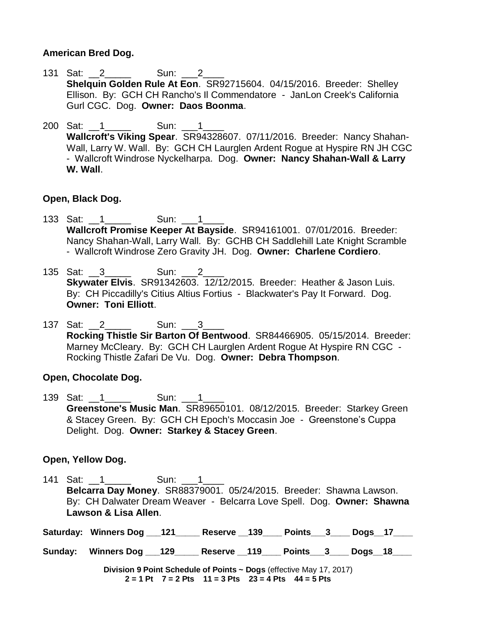### **American Bred Dog.**

- 131 Sat: 2 Sun: 2 **Shelquin Golden Rule At Eon**. SR92715604. 04/15/2016. Breeder: Shelley Ellison. By: GCH CH Rancho's Il Commendatore - JanLon Creek's California Gurl CGC. Dog. **Owner: Daos Boonma**.
- 200 Sat: 1 \_\_\_\_ Sun: 1 \_\_\_ **Wallcroft's Viking Spear**. SR94328607. 07/11/2016. Breeder: Nancy Shahan-Wall, Larry W. Wall. By: GCH CH Laurglen Ardent Roque at Hyspire RN JH CGC - Wallcroft Windrose Nyckelharpa. Dog. **Owner: Nancy Shahan-Wall & Larry W. Wall**.

#### **Open, Black Dog.**

- 133 Sat: 1 \_\_\_\_\_\_ Sun: 1 **Wallcroft Promise Keeper At Bayside**. SR94161001. 07/01/2016. Breeder: Nancy Shahan-Wall, Larry Wall. By: GCHB CH Saddlehill Late Knight Scramble - Wallcroft Windrose Zero Gravity JH. Dog. **Owner: Charlene Cordiero**.
- 135 Sat: 3 \_\_\_\_\_ Sun: 2 **Skywater Elvis**. SR91342603. 12/12/2015. Breeder: Heather & Jason Luis. By: CH Piccadilly's Citius Altius Fortius - Blackwater's Pay It Forward. Dog. **Owner: Toni Elliott**.
- 137 Sat: 2 Sun: 3 **Rocking Thistle Sir Barton Of Bentwood**. SR84466905. 05/15/2014. Breeder: Marney McCleary. By: GCH CH Laurglen Ardent Rogue At Hyspire RN CGC - Rocking Thistle Zafari De Vu. Dog. **Owner: Debra Thompson**.

#### **Open, Chocolate Dog.**

139 Sat: 1 Sun: 1 **Greenstone's Music Man**. SR89650101. 08/12/2015. Breeder: Starkey Green & Stacey Green. By: GCH CH Epoch's Moccasin Joe - Greenstone's Cuppa Delight. Dog. **Owner: Starkey & Stacey Green**.

#### **Open, Yellow Dog.**

- 141 Sat: 1 \_\_\_\_\_\_ Sun: 1 **Belcarra Day Money**. SR88379001. 05/24/2015. Breeder: Shawna Lawson. By: CH Dalwater Dream Weaver - Belcarra Love Spell. Dog. **Owner: Shawna Lawson & Lisa Allen**.
- **Saturday: Winners Dog \_\_\_121\_\_\_\_\_ Reserve \_\_139\_\_\_\_ Points\_\_\_3\_\_\_\_ Dogs\_\_17\_\_\_\_**
- **Sunday: Winners Dog \_\_\_129\_\_\_\_\_ Reserve \_\_119\_\_\_\_ Points\_\_\_3\_\_\_\_ Dogs\_\_18\_\_\_\_**

**Division 9 Point Schedule of Points ~ Dogs** (effective May 17, 2017) **2 = 1 Pt 7 = 2 Pts 11 = 3 Pts 23 = 4 Pts 44 = 5 Pts**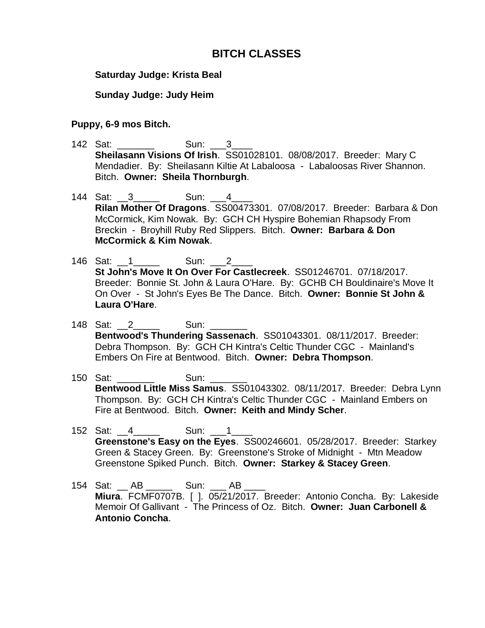## **BITCH CLASSES**

#### **Saturday Judge: Krista Beal**

#### **Sunday Judge: Judy Heim**

#### **Puppy, 6-9 mos Bitch.**

- 142 Sat: Sun: 3 **Sheilasann Visions Of Irish**. SS01028101. 08/08/2017. Breeder: Mary C Mendadier. By: Sheilasann Kiltie At Labaloosa - Labaloosas River Shannon. Bitch. **Owner: Sheila Thornburgh**.
- 144 Sat: 3 Sun: 4 **Rilan Mother Of Dragons**. SS00473301. 07/08/2017. Breeder: Barbara & Don McCormick, Kim Nowak. By: GCH CH Hyspire Bohemian Rhapsody From Breckin - Broyhill Ruby Red Slippers. Bitch. **Owner: Barbara & Don McCormick & Kim Nowak**.
- 146 Sat: 1 \_\_\_\_\_\_ Sun: 2 **St John's Move It On Over For Castlecreek**. SS01246701. 07/18/2017. Breeder: Bonnie St. John & Laura O'Hare. By: GCHB CH Bouldinaire's Move It On Over - St John's Eyes Be The Dance. Bitch. **Owner: Bonnie St John & Laura O'Hare**.
- 148 Sat: 2 Sun: **Bentwood's Thundering Sassenach**. SS01043301. 08/11/2017. Breeder: Debra Thompson. By: GCH CH Kintra's Celtic Thunder CGC - Mainland's Embers On Fire at Bentwood. Bitch. **Owner: Debra Thompson**.
- 150 Sat: Sun: **Bentwood Little Miss Samus**. SS01043302. 08/11/2017. Breeder: Debra Lynn Thompson. By: GCH CH Kintra's Celtic Thunder CGC - Mainland Embers on Fire at Bentwood. Bitch. **Owner: Keith and Mindy Scher**.
- 152 Sat: 4 **Sun: 1 Greenstone's Easy on the Eyes**. SS00246601. 05/28/2017. Breeder: Starkey Green & Stacey Green. By: Greenstone's Stroke of Midnight - Mtn Meadow Greenstone Spiked Punch. Bitch. **Owner: Starkey & Stacey Green**.
- 154 Sat: AB \_\_\_\_\_ Sun: AB **Miura**. FCMF0707B. [ ]. 05/21/2017. Breeder: Antonio Concha. By: Lakeside Memoir Of Gallivant - The Princess of Oz. Bitch. **Owner: Juan Carbonell & Antonio Concha**.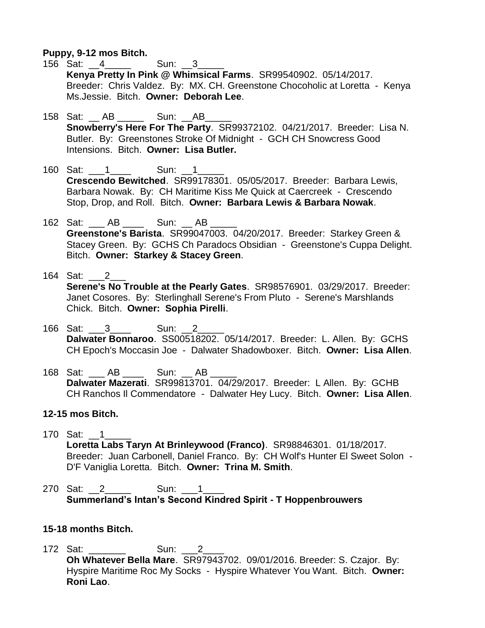**Puppy, 9-12 mos Bitch.**

- 156 Sat: 4 **Sun: 3 Kenya Pretty In Pink @ Whimsical Farms**. SR99540902. 05/14/2017. Breeder: Chris Valdez. By: MX. CH. Greenstone Chocoholic at Loretta - Kenya Ms.Jessie. Bitch. **Owner: Deborah Lee**.
- 158 Sat: AB \_\_\_\_\_ Sun: AB **Snowberry's Here For The Party**. SR99372102. 04/21/2017. Breeder: Lisa N. Butler. By: Greenstones Stroke Of Midnight - GCH CH Snowcress Good Intensions. Bitch. **Owner: Lisa Butler.**
- 160 Sat: 1 Sun: 1 **Crescendo Bewitched**. SR99178301. 05/05/2017. Breeder: Barbara Lewis, Barbara Nowak. By: CH Maritime Kiss Me Quick at Caercreek - Crescendo Stop, Drop, and Roll. Bitch. **Owner: Barbara Lewis & Barbara Nowak**.
- 162 Sat: \_\_\_ AB \_\_\_\_ Sun: \_\_ AB \_\_\_\_\_ **Greenstone's Barista**. SR99047003. 04/20/2017. Breeder: Starkey Green & Stacey Green. By: GCHS Ch Paradocs Obsidian - Greenstone's Cuppa Delight. Bitch. **Owner: Starkey & Stacey Green**.
- 164 Sat: 2 **Serene's No Trouble at the Pearly Gates**. SR98576901. 03/29/2017. Breeder: Janet Cosores. By: Sterlinghall Serene's From Pluto - Serene's Marshlands Chick. Bitch. **Owner: Sophia Pirelli**.
- 166 Sat: \_\_\_3\_\_\_\_\_\_\_ Sun: 2 **Dalwater Bonnaroo**. SS00518202. 05/14/2017. Breeder: L. Allen. By: GCHS CH Epoch's Moccasin Joe - Dalwater Shadowboxer. Bitch. **Owner: Lisa Allen**.
- 168 Sat: \_\_\_ AB \_\_\_\_ Sun: \_\_ AB \_\_\_\_\_ **Dalwater Mazerati**. SR99813701. 04/29/2017. Breeder: L Allen. By: GCHB CH Ranchos Il Commendatore - Dalwater Hey Lucy. Bitch. **Owner: Lisa Allen**.

#### **12-15 mos Bitch.**

- 170 Sat: 1 **Loretta Labs Taryn At Brinleywood (Franco)**. SR98846301. 01/18/2017. Breeder: Juan Carbonell, Daniel Franco. By: CH Wolf's Hunter El Sweet Solon - D'F Vaniglia Loretta. Bitch. **Owner: Trina M. Smith**.
- 270 Sat: 2 Sun: 1 **Summerland's Intan's Second Kindred Spirit - T Hoppenbrouwers**

#### **15-18 months Bitch.**

172 Sat: **Sun: 2 Oh Whatever Bella Mare**. SR97943702. 09/01/2016. Breeder: S. Czajor. By: Hyspire Maritime Roc My Socks - Hyspire Whatever You Want. Bitch. **Owner: Roni Lao**.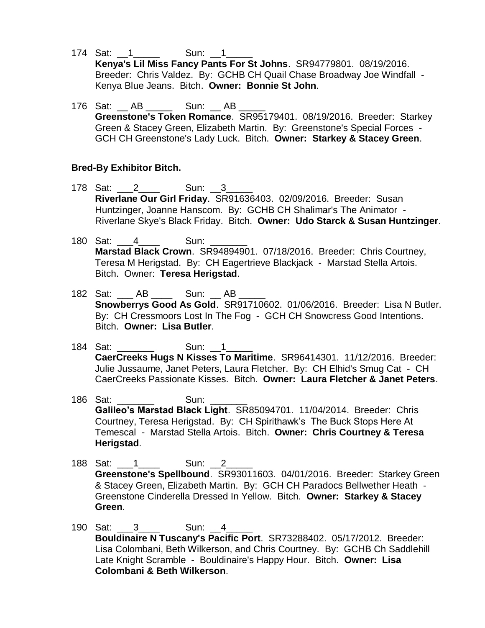- 174 Sat: 1 \_\_\_\_\_\_ Sun: 1 **Kenya's Lil Miss Fancy Pants For St Johns**. SR94779801. 08/19/2016. Breeder: Chris Valdez. By: GCHB CH Quail Chase Broadway Joe Windfall - Kenya Blue Jeans. Bitch. **Owner: Bonnie St John**.
- 176 Sat: AB \_\_\_\_\_ Sun: AB **Greenstone's Token Romance**. SR95179401. 08/19/2016. Breeder: Starkey Green & Stacey Green, Elizabeth Martin. By: Greenstone's Special Forces - GCH CH Greenstone's Lady Luck. Bitch. **Owner: Starkey & Stacey Green**.

## **Bred-By Exhibitor Bitch.**

- 178 Sat: 2 Sun: 3 **Riverlane Our Girl Friday**. SR91636403. 02/09/2016. Breeder: Susan Huntzinger, Joanne Hanscom. By: GCHB CH Shalimar's The Animator - Riverlane Skye's Black Friday. Bitch. **Owner: Udo Starck & Susan Huntzinger**.
- 180 Sat: 4 Sun: **Marstad Black Crown**. SR94894901. 07/18/2016. Breeder: Chris Courtney, Teresa M Herigstad. By: CH Eagertrieve Blackjack - Marstad Stella Artois. Bitch. Owner: **Teresa Herigstad**.
- 182 Sat: \_\_\_ AB \_\_\_\_ Sun: \_\_ AB **Snowberrys Good As Gold**. SR91710602. 01/06/2016. Breeder: Lisa N Butler. By: CH Cressmoors Lost In The Fog - GCH CH Snowcress Good Intentions. Bitch. **Owner: Lisa Butler**.
- 184 Sat: \_\_\_\_\_\_\_\_\_ Sun: \_\_1\_ **CaerCreeks Hugs N Kisses To Maritime**. SR96414301. 11/12/2016. Breeder: Julie Jussaume, Janet Peters, Laura Fletcher. By: CH Elhid's Smug Cat - CH CaerCreeks Passionate Kisses. Bitch. **Owner: Laura Fletcher & Janet Peters**.
- 186 Sat: \_\_\_\_\_\_\_ Sun: \_\_\_\_\_\_\_ **Galileo's Marstad Black Light**. SR85094701. 11/04/2014. Breeder: Chris Courtney, Teresa Herigstad. By: CH Spirithawk's The Buck Stops Here At Temescal - Marstad Stella Artois. Bitch. **Owner: Chris Courtney & Teresa Herigstad**.
- 188 Sat: 1 Sun: 2 **Greenstone's Spellbound**. SR93011603. 04/01/2016. Breeder: Starkey Green & Stacey Green, Elizabeth Martin. By: GCH CH Paradocs Bellwether Heath - Greenstone Cinderella Dressed In Yellow. Bitch. **Owner: Starkey & Stacey Green**.
- 190 Sat: 3\_\_\_\_ Sun: 4\_ **Bouldinaire N Tuscany's Pacific Port**. SR73288402. 05/17/2012. Breeder: Lisa Colombani, Beth Wilkerson, and Chris Courtney. By: GCHB Ch Saddlehill Late Knight Scramble - Bouldinaire's Happy Hour. Bitch. **Owner: Lisa Colombani & Beth Wilkerson**.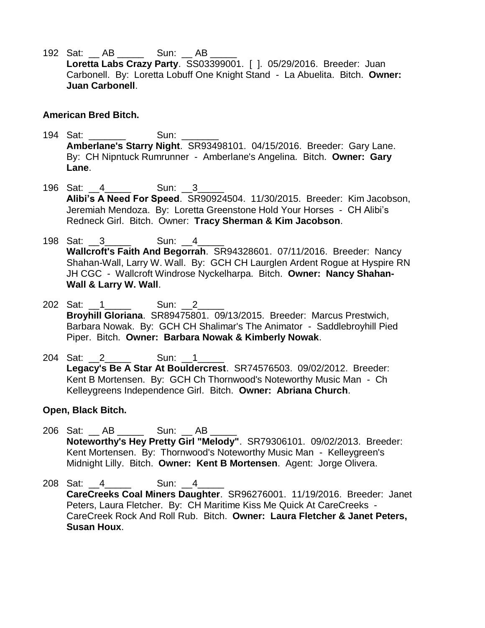192 Sat: AB \_\_\_\_\_\_ Sun: AB **Loretta Labs Crazy Party**. SS03399001. [ ]. 05/29/2016. Breeder: Juan Carbonell. By: Loretta Lobuff One Knight Stand - La Abuelita. Bitch. **Owner: Juan Carbonell**.

#### **American Bred Bitch.**

- 194 Sat: Sun: **Amberlane's Starry Night**. SR93498101. 04/15/2016. Breeder: Gary Lane. By: CH Nipntuck Rumrunner - Amberlane's Angelina. Bitch. **Owner: Gary Lane**.
- 196 Sat: 4 \_\_\_\_\_ Sun: 3 **Alibi's A Need For Speed**. SR90924504. 11/30/2015. Breeder: Kim Jacobson, Jeremiah Mendoza. By: Loretta Greenstone Hold Your Horses - CH Alibi's Redneck Girl. Bitch. Owner: **Tracy Sherman & Kim Jacobson**.
- 198 Sat: 3 \_\_\_\_\_ Sun: 4 **Wallcroft's Faith And Begorrah**. SR94328601. 07/11/2016. Breeder: Nancy Shahan-Wall, Larry W. Wall. By: GCH CH Laurglen Ardent Rogue at Hyspire RN JH CGC - Wallcroft Windrose Nyckelharpa. Bitch. **Owner: Nancy Shahan-Wall & Larry W. Wall**.
- 202 Sat: 1 \_\_\_\_\_\_ Sun: 2 **Broyhill Gloriana**. SR89475801. 09/13/2015. Breeder: Marcus Prestwich, Barbara Nowak. By: GCH CH Shalimar's The Animator - Saddlebroyhill Pied Piper. Bitch. **Owner: Barbara Nowak & Kimberly Nowak**.
- 204 Sat: 2 Sun: 1 **Legacy's Be A Star At Bouldercrest**. SR74576503. 09/02/2012. Breeder: Kent B Mortensen. By: GCH Ch Thornwood's Noteworthy Music Man - Ch Kelleygreens Independence Girl. Bitch. **Owner: Abriana Church**.

#### **Open, Black Bitch.**

- 206 Sat: \_\_ AB \_\_\_\_\_\_ Sun: \_\_ AB **Noteworthy's Hey Pretty Girl "Melody"**. SR79306101. 09/02/2013. Breeder: Kent Mortensen. By: Thornwood's Noteworthy Music Man - Kelleygreen's Midnight Lilly. Bitch. **Owner: Kent B Mortensen**. Agent: Jorge Olivera.
- 208 Sat: 4 \_\_\_\_\_ Sun: 4 **CareCreeks Coal Miners Daughter**. SR96276001. 11/19/2016. Breeder: Janet Peters, Laura Fletcher. By: CH Maritime Kiss Me Quick At CareCreeks - CareCreek Rock And Roll Rub. Bitch. **Owner: Laura Fletcher & Janet Peters, Susan Houx**.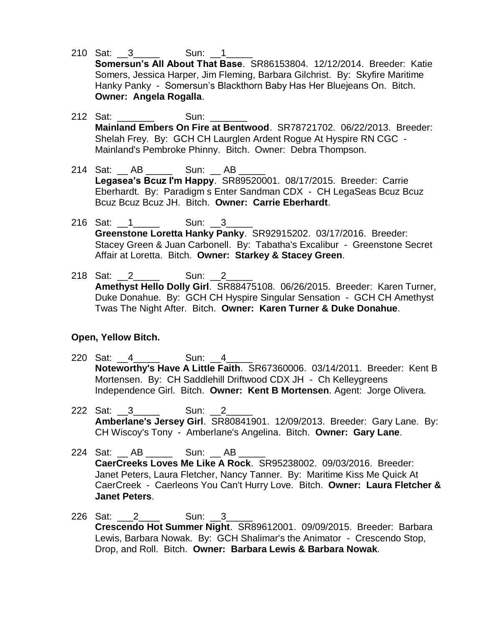- 210 Sat: 3 \_\_\_\_\_ Sun: 1 **Somersun's All About That Base**. SR86153804. 12/12/2014. Breeder: Katie Somers, Jessica Harper, Jim Fleming, Barbara Gilchrist. By: Skyfire Maritime Hanky Panky - Somersun's Blackthorn Baby Has Her Bluejeans On. Bitch. **Owner: Angela Rogalla**.
- 212 Sat: \_\_\_\_\_\_\_ Sun: \_\_\_\_\_\_\_ **Mainland Embers On Fire at Bentwood**. SR78721702. 06/22/2013. Breeder: Shelah Frey. By: GCH CH Laurglen Ardent Rogue At Hyspire RN CGC - Mainland's Pembroke Phinny. Bitch. Owner: Debra Thompson.
- 214 Sat: AB \_\_\_\_\_ Sun: AB **Legasea's Bcuz I'm Happy**. SR89520001. 08/17/2015. Breeder: Carrie Eberhardt. By: Paradigm s Enter Sandman CDX - CH LegaSeas Bcuz Bcuz Bcuz Bcuz Bcuz JH. Bitch. **Owner: Carrie Eberhardt**.
- 216 Sat: 1 \_\_\_\_\_\_ Sun: 3 **Greenstone Loretta Hanky Panky**. SR92915202. 03/17/2016. Breeder: Stacey Green & Juan Carbonell. By: Tabatha's Excalibur - Greenstone Secret Affair at Loretta. Bitch. **Owner: Starkey & Stacey Green**.
- 218 Sat: 2 \_\_\_\_\_\_\_\_ Sun: 2 **Amethyst Hello Dolly Girl**. SR88475108. 06/26/2015. Breeder: Karen Turner, Duke Donahue. By: GCH CH Hyspire Singular Sensation - GCH CH Amethyst Twas The Night After. Bitch. **Owner: Karen Turner & Duke Donahue**.

#### **Open, Yellow Bitch.**

- 220 Sat: 4 \_\_\_\_\_ Sun: 4 **Noteworthy's Have A Little Faith**. SR67360006. 03/14/2011. Breeder: Kent B Mortensen. By: CH Saddlehill Driftwood CDX JH - Ch Kelleygreens Independence Girl. Bitch. **Owner: Kent B Mortensen**. Agent: Jorge Olivera.
- 222 Sat: 3 Sun: 2 **Amberlane's Jersey Girl**. SR80841901. 12/09/2013. Breeder: Gary Lane. By: CH Wiscoy's Tony - Amberlane's Angelina. Bitch. **Owner: Gary Lane**.
- 224 Sat: AB \_\_\_\_\_ Sun: AB **CaerCreeks Loves Me Like A Rock**. SR95238002. 09/03/2016. Breeder: Janet Peters, Laura Fletcher, Nancy Tanner. By: Maritime Kiss Me Quick At CaerCreek - Caerleons You Can't Hurry Love. Bitch. **Owner: Laura Fletcher & Janet Peters**.
- 226 Sat: 2 \_\_\_\_\_\_ Sun: 3 **Crescendo Hot Summer Night**. SR89612001. 09/09/2015. Breeder: Barbara Lewis, Barbara Nowak. By: GCH Shalimar's the Animator - Crescendo Stop, Drop, and Roll. Bitch. **Owner: Barbara Lewis & Barbara Nowak**.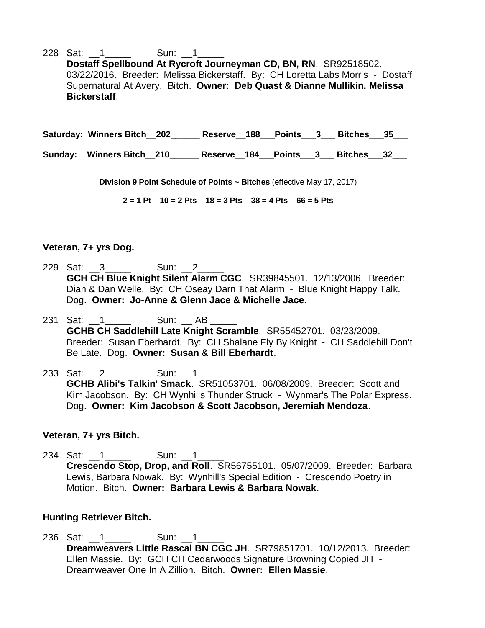228 Sat: 1 \_\_\_\_\_\_ Sun: 1 **Dostaff Spellbound At Rycroft Journeyman CD, BN, RN**. SR92518502. 03/22/2016. Breeder: Melissa Bickerstaff. By: CH Loretta Labs Morris - Dostaff Supernatural At Avery. Bitch. **Owner: Deb Quast & Dianne Mullikin, Melissa Bickerstaff**.

**Saturday: Winners Bitch\_\_202\_\_\_\_\_\_ Reserve\_\_188\_\_\_Points\_\_\_3\_\_\_ Bitches\_\_\_35\_\_\_**

**Sunday: Winners Bitch\_\_210\_\_\_\_\_\_ Reserve\_\_184\_\_\_Points\_\_\_3\_\_\_ Bitches\_\_\_32\_\_\_**

**Division 9 Point Schedule of Points ~ Bitches** (effective May 17, 2017)

**2 = 1 Pt 10 = 2 Pts 18 = 3 Pts 38 = 4 Pts 66 = 5 Pts**

#### **Veteran, 7+ yrs Dog.**

- 229 Sat: 3 \_\_\_\_\_ Sun: 2 **GCH CH Blue Knight Silent Alarm CGC**. SR39845501. 12/13/2006. Breeder: Dian & Dan Welle. By: CH Oseay Darn That Alarm - Blue Knight Happy Talk. Dog. **Owner: Jo-Anne & Glenn Jace & Michelle Jace**.
- 231 Sat: 1 \_\_\_\_\_ Sun: AB **GCHB CH Saddlehill Late Knight Scramble**. SR55452701. 03/23/2009. Breeder: Susan Eberhardt. By: CH Shalane Fly By Knight - CH Saddlehill Don't Be Late. Dog. **Owner: Susan & Bill Eberhardt**.
- 233 Sat: 2 Sun: 1 **GCHB Alibi's Talkin' Smack**. SR51053701. 06/08/2009. Breeder: Scott and Kim Jacobson. By: CH Wynhills Thunder Struck - Wynmar's The Polar Express. Dog. **Owner: Kim Jacobson & Scott Jacobson, Jeremiah Mendoza**.

#### **Veteran, 7+ yrs Bitch.**

234 Sat: 1 \_\_\_\_\_\_ Sun: 1 **Crescendo Stop, Drop, and Roll**. SR56755101. 05/07/2009. Breeder: Barbara Lewis, Barbara Nowak. By: Wynhill's Special Edition - Crescendo Poetry in Motion. Bitch. **Owner: Barbara Lewis & Barbara Nowak**.

#### **Hunting Retriever Bitch.**

236 Sat: 1 \_\_\_\_\_\_ Sun: 1 **Dreamweavers Little Rascal BN CGC JH**. SR79851701. 10/12/2013. Breeder: Ellen Massie. By: GCH CH Cedarwoods Signature Browning Copied JH - Dreamweaver One In A Zillion. Bitch. **Owner: Ellen Massie**.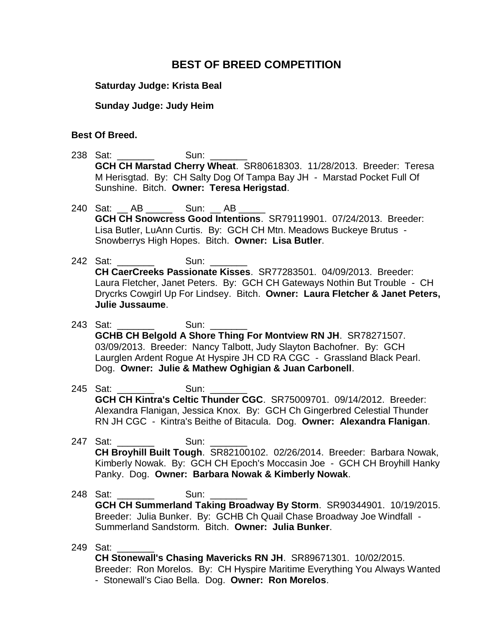## **BEST OF BREED COMPETITION**

#### **Saturday Judge: Krista Beal**

#### **Sunday Judge: Judy Heim**

#### **Best Of Breed.**

- 238 Sat: **Sun: Sun: GCH CH Marstad Cherry Wheat**. SR80618303. 11/28/2013. Breeder: Teresa M Herisgtad. By: CH Salty Dog Of Tampa Bay JH - Marstad Pocket Full Of Sunshine. Bitch. **Owner: Teresa Herigstad**.
- 240 Sat: \_\_ AB \_\_\_\_\_\_ Sun: \_\_ AB \_\_\_\_\_ **GCH CH Snowcress Good Intentions**. SR79119901. 07/24/2013. Breeder: Lisa Butler, LuAnn Curtis. By: GCH CH Mtn. Meadows Buckeye Brutus - Snowberrys High Hopes. Bitch. **Owner: Lisa Butler**.
- 242 Sat: Sun: **CH CaerCreeks Passionate Kisses**. SR77283501. 04/09/2013. Breeder: Laura Fletcher, Janet Peters. By: GCH CH Gateways Nothin But Trouble - CH Drycrks Cowgirl Up For Lindsey. Bitch. **Owner: Laura Fletcher & Janet Peters, Julie Jussaume**.
- 243 Sat: \_\_\_\_\_\_\_ Sun: \_\_\_\_\_\_\_ **GCHB CH Belgold A Shore Thing For Montview RN JH**. SR78271507. 03/09/2013. Breeder: Nancy Talbott, Judy Slayton Bachofner. By: GCH Laurglen Ardent Rogue At Hyspire JH CD RA CGC - Grassland Black Pearl. Dog. **Owner: Julie & Mathew Oghigian & Juan Carbonell**.
- 245 Sat: Sun: Sun: **GCH CH Kintra's Celtic Thunder CGC**. SR75009701. 09/14/2012. Breeder: Alexandra Flanigan, Jessica Knox. By: GCH Ch Gingerbred Celestial Thunder RN JH CGC - Kintra's Beithe of Bitacula. Dog. **Owner: Alexandra Flanigan**.
- 247 Sat: Sun: **CH Broyhill Built Tough**. SR82100102. 02/26/2014. Breeder: Barbara Nowak, Kimberly Nowak. By: GCH CH Epoch's Moccasin Joe - GCH CH Broyhill Hanky Panky. Dog. **Owner: Barbara Nowak & Kimberly Nowak**.
- 248 Sat: Sun: **GCH CH Summerland Taking Broadway By Storm**. SR90344901. 10/19/2015. Breeder: Julia Bunker. By: GCHB Ch Quail Chase Broadway Joe Windfall - Summerland Sandstorm. Bitch. **Owner: Julia Bunker**.
- 249 Sat:

**CH Stonewall's Chasing Mavericks RN JH**. SR89671301. 10/02/2015. Breeder: Ron Morelos. By: CH Hyspire Maritime Everything You Always Wanted - Stonewall's Ciao Bella. Dog. **Owner: Ron Morelos**.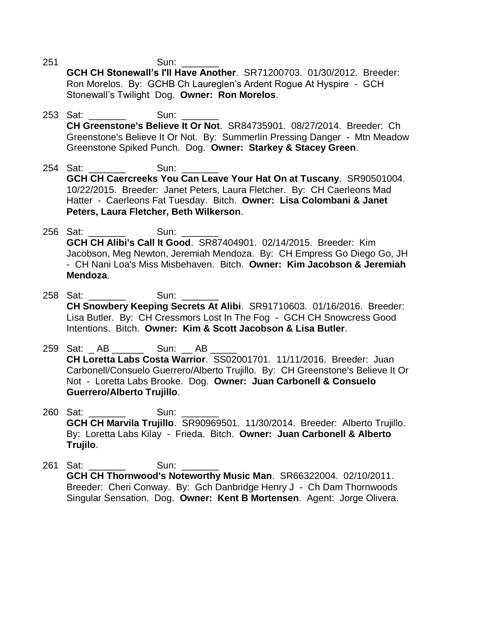251 Sun:

**GCH CH Stonewall's I'll Have Another**. SR71200703. 01/30/2012. Breeder: Ron Morelos. By: GCHB Ch Laureglen's Ardent Rogue At Hyspire - GCH Stonewall's Twilight Dog. **Owner: Ron Morelos**.

- 253 Sat: Sun: **CH Greenstone's Believe It Or Not**. SR84735901. 08/27/2014. Breeder: Ch Greenstone's Believe It Or Not. By: Summerlin Pressing Danger - Mtn Meadow Greenstone Spiked Punch. Dog. **Owner: Starkey & Stacey Green**.
- 254 Sat: \_\_\_\_\_\_\_ Sun: \_ **GCH CH Caercreeks You Can Leave Your Hat On at Tuscany**. SR90501004. 10/22/2015. Breeder: Janet Peters, Laura Fletcher. By: CH Caerleons Mad Hatter - Caerleons Fat Tuesday. Bitch. **Owner: Lisa Colombani & Janet Peters, Laura Fletcher, Beth Wilkerson**.
- 256 Sat: \_\_\_\_\_\_\_ Sun: \_\_\_\_\_\_\_ **GCH CH Alibi's Call It Good**. SR87404901. 02/14/2015. Breeder: Kim Jacobson, Meg Newton, Jeremiah Mendoza. By: CH Empress Go Diego Go, JH - CH Nani Loa's Miss Misbehaven. Bitch. **Owner: Kim Jacobson & Jeremiah Mendoza**.
- 258 Sat: \_\_\_\_\_\_\_\_ Sun: **CH Snowbery Keeping Secrets At Alibi**. SR91710603. 01/16/2016. Breeder: Lisa Butler. By: CH Cressmors Lost In The Fog - GCH CH Snowcress Good Intentions. Bitch. **Owner: Kim & Scott Jacobson & Lisa Butler**.
- 259 Sat: AB \_\_\_\_\_\_ Sun: AB **CH Loretta Labs Costa Warrior**. SS02001701. 11/11/2016. Breeder: Juan Carbonell/Consuelo Guerrero/Alberto Trujillo. By: CH Greenstone's Believe It Or Not - Loretta Labs Brooke. Dog. **Owner: Juan Carbonell & Consuelo Guerrero/Alberto Trujillo**.
- 260 Sat: \_\_\_\_\_\_\_ Sun: \_\_\_\_\_\_\_ **GCH CH Marvila Trujillo**. SR90969501. 11/30/2014. Breeder: Alberto Trujillo. By: Loretta Labs Kilay - Frieda. Bitch. **Owner: Juan Carbonell & Alberto Trujilo**.
- 261 Sat: **Sun: Sun: 261 Sun: GCH CH Thornwood's Noteworthy Music Man**. SR66322004. 02/10/2011. Breeder: Cheri Conway. By: Gch Danbridge Henry J - Ch Dam Thornwoods Singular Sensation. Dog. **Owner: Kent B Mortensen**. Agent: Jorge Olivera.